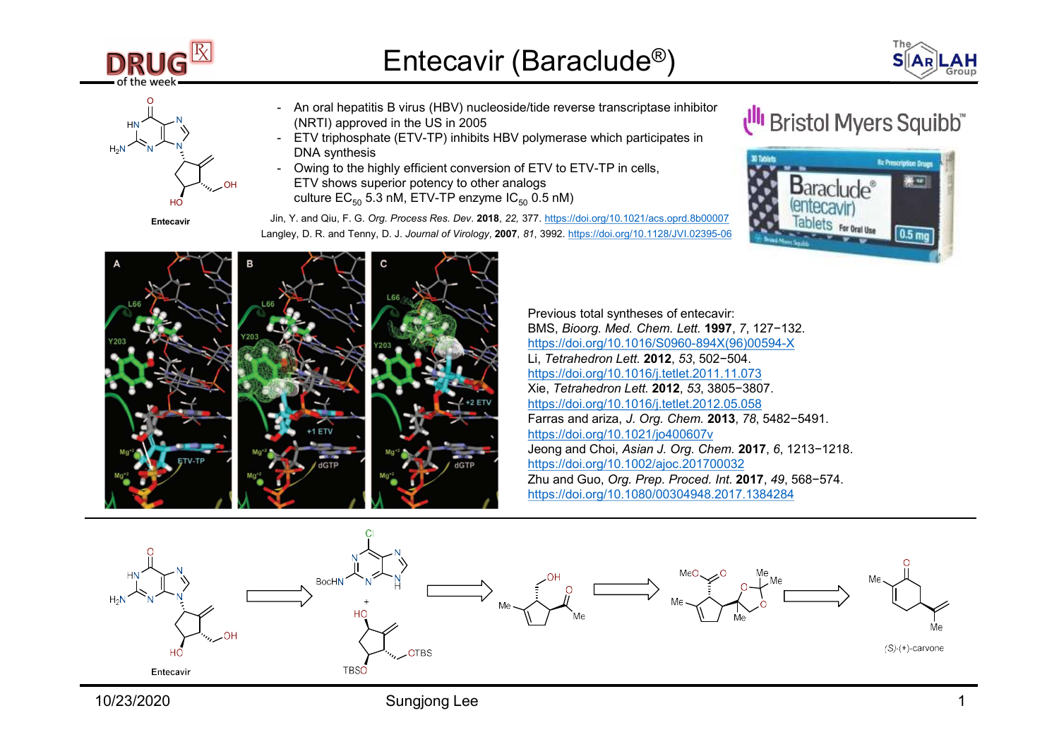





- Entecavir (Baraclude®)<br>- An oral hepatitis B virus (HBV) nucleoside/tide reverse transcriptase inhibitor<br>- ETV triphosphate (ETV-TP) inhibits HBV polymerase which participates in<br>- DNA synthesis<br>- Owing to the highly effic  $H_N \rightarrow N$  (NRTI) approved in the US in 2005 - An oral hepatitis B virus (HBV) nucleoside/tide reverse transcriptase inhibitor
- $H_2N$   $N$   $N$   $N$   $N$   $N$  DNA synthesis
- **Entecavir (Baraclude<sup>®</sup>)**<br>- An oral hepatitis B virus (HBV) nucleoside/tide reverse transcriptase inhibitor<br>- ETV triphosphate (ETV-TP) inhibits HBV polymerase which participates in<br>- Owing to the highly efficient conver **Entecavir (Baraclude®)**<br>
- An oral hepatitis B virus (HBV) nucleoside/tide reverse transcriptase inhibitor<br>
- ETV triphosphate (ETV-TP) inhibits HBV polymerase which participates in<br>
- Owing to the highly efficient conve ETV shows superior potency to other analogs OH  $_{\rm HO}$  culture EC $_{50}$  5.3 nM, ETV-TP enzyme IC $_{50}$  0.5 nM)

Jin, Y. and Qiu, F. G. Org. Process Res. Dev. 2018, 22, 377. https://doi.org/10.1021/acs.oprd.8b00007 Entecavir Langley, D. R. and Tenny, D. J. Journal of Virology, 2007, 81, 3992. https://doi.org/10.1128/JVI.02395-06





Previous total syntheses of entecavir: BMS, Bioorg. Med. Chem. Lett. 1997, 7, 127−132. https://doi.org/10.1016/S0960-894X(96)00594-X Li, Tetrahedron Lett. 2012, 53, 502−504. https://doi.org/10.1016/j.tetlet.2011.11.073 Xie, Tetrahedron Lett. 2012, 53, 3805−3807. https://doi.org/10.1016/j.tetlet.2012.05.058 First transcriptase inhibitor<br>
Farras which participates in<br>
ETV to ETV-TP in cells,<br>
0.5 nM)<br>
77. https://doi.org/10.1021/ass.ord.8b00027<br>
77. https://doi.org/10.1021/ass.ord.8b00027<br>
77. https://doi.org/10.1018/30960-89 https://doi.org/10.1021/jo400607v Jeong and Choi, Asian J. Org. Chem. 2017, 6, 1213−1218.<br>
Thus://doi.org/10.102/iacs.ord.8b0007<br>
The the Chile Cavity and Choice of the Chile Cavity of the Chile Cavity<br>
The Chile Cavity of the Chile Cavity of the Chile Ca https://doi.org/10.1002/ajoc.201700032 Zhu and Guo, Org. Prep. Proced. Int. 2017, 49, 568−574. https://doi.org/10.1080/00304948.2017.1384284